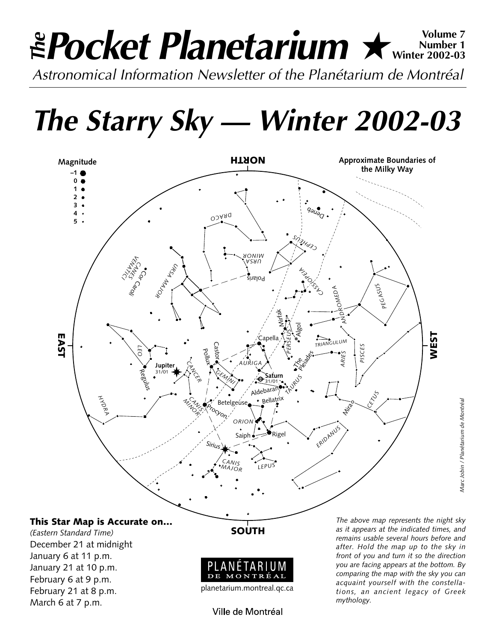## **Pocket Planetarium ★** Winter 1 Number 1 **Number 1 Winter 2002-03** *Astronomical Information Newsletter of the Planétarium de Montréal The*

*The Starry Sky — Winter 2002-03*



*(Eastern Standard Time)* December 21 at midnight January 6 at 11 p.m. January 21 at 10 p.m. February 6 at 9 p.m. February 21 at 8 p.m. March 6 at 7 p.m.

**SOUTH**



planetarium.montreal.qc.ca

Ville de Montréal

*The above map represents the night sky as it appears at the indicated times, and remains usable several hours before and after. Hold the map up to the sky in front of you and turn it so the direction you are facing appears at the bottom. By comparing the map with the sky you can acquaint yourself with the constellations, an ancient legacy of Greek mythology.*